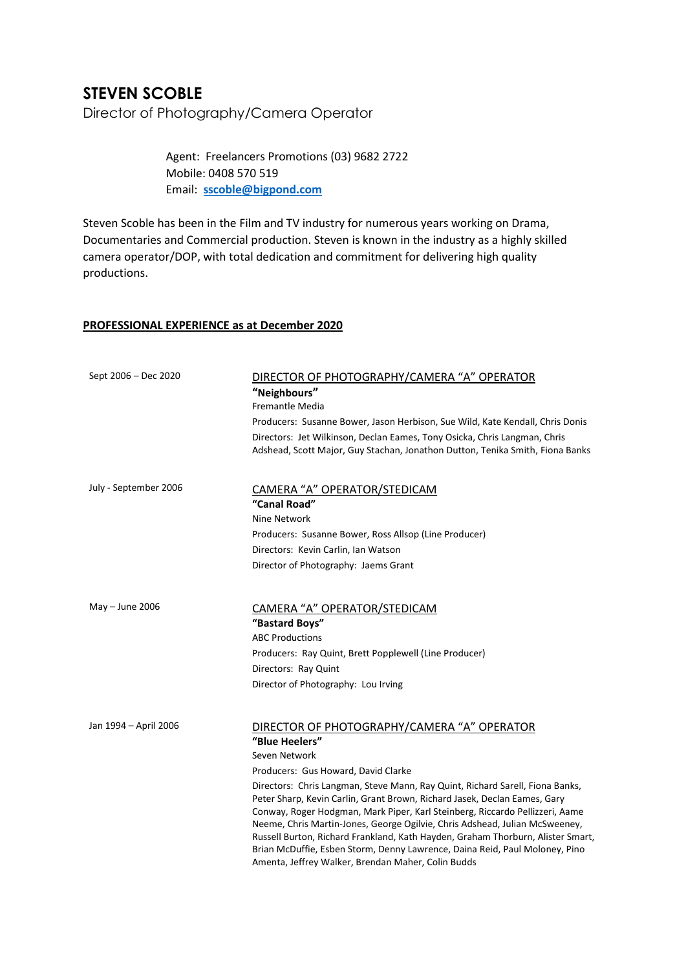# **STEVEN SCOBLE**

Director of Photography/Camera Operator

Agent: Freelancers Promotions (03) 9682 2722 Mobile: 0408 570 519 Email: **[sscoble@bigpond.com](mailto:sscoble@bigpond.com)**

Steven Scoble has been in the Film and TV industry for numerous years working on Drama, Documentaries and Commercial production. Steven is known in the industry as a highly skilled camera operator/DOP, with total dedication and commitment for delivering high quality productions.

## **PROFESSIONAL EXPERIENCE as at December 2020**

| Sept 2006 - Dec 2020  | DIRECTOR OF PHOTOGRAPHY/CAMERA "A" OPERATOR<br>"Neighbours"<br><b>Fremantle Media</b><br>Producers: Susanne Bower, Jason Herbison, Sue Wild, Kate Kendall, Chris Donis<br>Directors: Jet Wilkinson, Declan Eames, Tony Osicka, Chris Langman, Chris<br>Adshead, Scott Major, Guy Stachan, Jonathon Dutton, Tenika Smith, Fiona Banks                                                                                                                                                                                                                                                                                                                                       |
|-----------------------|----------------------------------------------------------------------------------------------------------------------------------------------------------------------------------------------------------------------------------------------------------------------------------------------------------------------------------------------------------------------------------------------------------------------------------------------------------------------------------------------------------------------------------------------------------------------------------------------------------------------------------------------------------------------------|
| July - September 2006 | CAMERA "A" OPERATOR/STEDICAM<br>"Canal Road"<br>Nine Network<br>Producers: Susanne Bower, Ross Allsop (Line Producer)<br>Directors: Kevin Carlin, Ian Watson<br>Director of Photography: Jaems Grant                                                                                                                                                                                                                                                                                                                                                                                                                                                                       |
| May $-$ June 2006     | CAMERA "A" OPERATOR/STEDICAM<br>"Bastard Boys"<br><b>ABC Productions</b><br>Producers: Ray Quint, Brett Popplewell (Line Producer)<br>Directors: Ray Quint<br>Director of Photography: Lou Irving                                                                                                                                                                                                                                                                                                                                                                                                                                                                          |
| Jan 1994 - April 2006 | DIRECTOR OF PHOTOGRAPHY/CAMERA "A" OPERATOR<br>"Blue Heelers"<br>Seven Network<br>Producers: Gus Howard, David Clarke<br>Directors: Chris Langman, Steve Mann, Ray Quint, Richard Sarell, Fiona Banks,<br>Peter Sharp, Kevin Carlin, Grant Brown, Richard Jasek, Declan Eames, Gary<br>Conway, Roger Hodgman, Mark Piper, Karl Steinberg, Riccardo Pellizzeri, Aame<br>Neeme, Chris Martin-Jones, George Ogilvie, Chris Adshead, Julian McSweeney,<br>Russell Burton, Richard Frankland, Kath Hayden, Graham Thorburn, Alister Smart,<br>Brian McDuffie, Esben Storm, Denny Lawrence, Daina Reid, Paul Moloney, Pino<br>Amenta, Jeffrey Walker, Brendan Maher, Colin Budds |